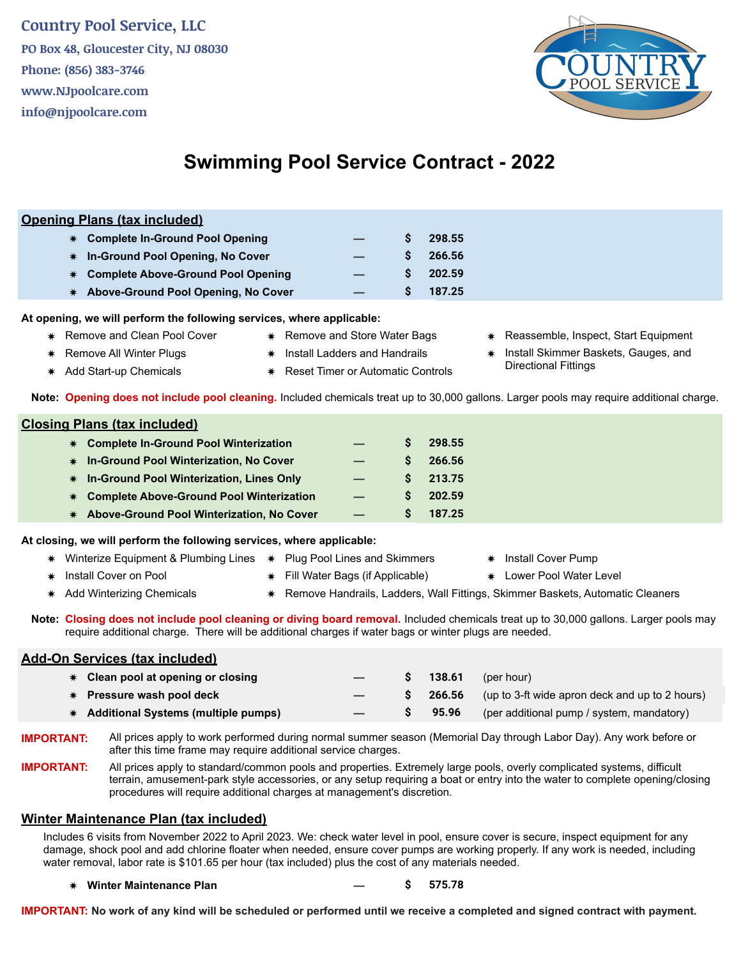## **Country Pool Service, LLC**

**PO Box 48, Gloucester City, NJ 08030 Phone: (856) 383-3746 www.NJpoolcare.com info@njpoolcare.com**



# **Swimming Pool Service Contract - 2022**

### **Opening Plans (tax included)**

| * Complete In-Ground Pool Opening     |    | 298.55            |
|---------------------------------------|----|-------------------|
| * In-Ground Pool Opening, No Cover    | S. | 266.56            |
| * Complete Above-Ground Pool Opening  |    | $\text{S}$ 202.59 |
| * Above-Ground Pool Opening, No Cover | S. | 187.25            |

**At opening, we will perform the following services, where applicable:**

- ✷ Remove and Clean Pool Cover ✷ Remove and Store Water Bags ✷ Reassemble, Inspect, Start Equipment
	-
- $*$  Add Start-up Chemicals  $*$  Reset Timer or Automatic Controls
	-
- 
- Remove All Winter Plugs  $\ast$  Install Ladders and Handrails  $\ast$  Install Skimmer Baskets, Gauges, and<br>Add Start up Chamicala

**Note: Opening does not include pool cleaning.** Included chemicals treat up to 30,000 gallons. Larger pools may require additional charge.

| <b>Closing Plans (tax included)</b> |                                             |  |  |        |  |  |  |
|-------------------------------------|---------------------------------------------|--|--|--------|--|--|--|
|                                     | * Complete In-Ground Pool Winterization     |  |  | 298.55 |  |  |  |
|                                     | * In-Ground Pool Winterization, No Cover    |  |  | 266.56 |  |  |  |
|                                     | * In-Ground Pool Winterization, Lines Only  |  |  | 213.75 |  |  |  |
|                                     | * Complete Above-Ground Pool Winterization  |  |  | 202.59 |  |  |  |
|                                     | * Above-Ground Pool Winterization, No Cover |  |  | 187.25 |  |  |  |

**At closing, we will perform the following services, where applicable:**

- Winterize Equipment & Plumbing Lines  $ှ Plug Pool Lines and Skimmers  $\star$  Install Cover Pump$ ✷ Install Cover on Pool ✷ Fill Water Bags (if Applicable) ✷ Lower Pool Water Level ✷ Add Winterizing Chemicals ✷ Remove Handrails, Ladders, Wall Fittings, Skimmer Baskets, Automatic Cleaners
- **Note: Closing does not include pool cleaning or diving board removal.** Included chemicals treat up to 30,000 gallons. Larger pools may require additional charge. There will be additional charges if water bags or winter plugs are needed.

### **Add-On Services (tax included)**

| $*$ Clean pool at opening or closing  |                          | 138.61 | (per hour)                                     |
|---------------------------------------|--------------------------|--------|------------------------------------------------|
| <b>★ Pressure wash pool deck</b>      | $\overline{\phantom{0}}$ | 266.56 | (up to 3-ft wide apron deck and up to 2 hours) |
| * Additional Systems (multiple pumps) |                          | 95.96  | (per additional pump / system, mandatory)      |
|                                       |                          |        |                                                |

**IMPORTANT:** All prices apply to work performed during normal summer season (Memorial Day through Labor Day). Any work before or after this time frame may require additional service charges.

**IMPORTANT:** All prices apply to standard/common pools and properties. Extremely large pools, overly complicated systems, difficult terrain, amusement-park style accessories, or any setup requiring a boat or entry into the water to complete opening/closing procedures will require additional charges at management's discretion.

#### **Winter Maintenance Plan (tax included)**

Includes 6 visits from November 2022 to April 2023. We: check water level in pool, ensure cover is secure, inspect equipment for any damage, shock pool and add chlorine floater when needed, ensure cover pumps are working properly. If any work is needed, including water removal, labor rate is \$101.65 per hour (tax included) plus the cost of any materials needed.

✷ **Winter Maintenance Plan — \$ 575.78**

**IMPORTANT: No work of any kind will be scheduled or performed until we receive a completed and signed contract with payment.**